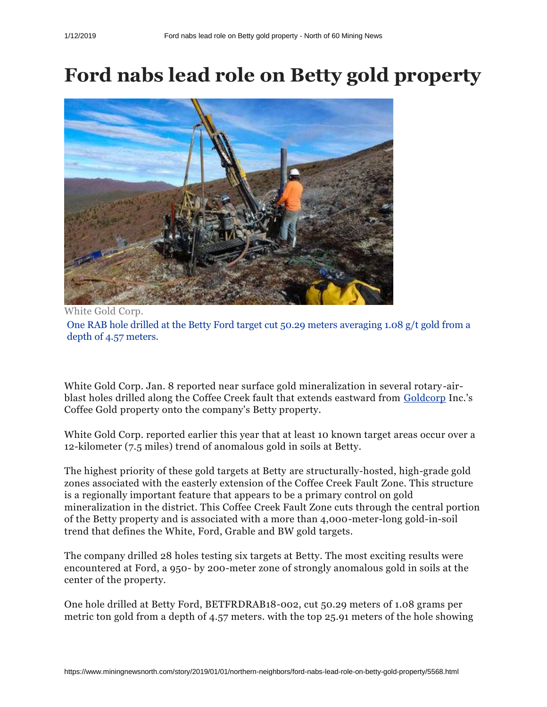## **Ford nabs lead role on Betty gold property**



White Gold Corp. One RAB hole drilled at the Betty Ford target cut 50.29 meters averaging 1.08 g/t gold from a depth of 4.57 meters.

White Gold Corp. Jan. 8 reported near surface gold mineralization in several rotary-air-blast holes drilled along the Coffee Creek fault that extends eastward from [Goldcorp](https://www.miningnewsnorth.com/search/Goldcorp) Inc.'s Coffee Gold property onto the company's Betty property.

White Gold Corp. reported earlier this year that at least 10 known target areas occur over a 12-kilometer (7.5 miles) trend of anomalous gold in soils at Betty.

The highest priority of these gold targets at Betty are structurally-hosted, high-grade gold zones associated with the easterly extension of the Coffee Creek Fault Zone. This structure is a regionally important feature that appears to be a primary control on gold mineralization in the district. This Coffee Creek Fault Zone cuts through the central portion of the Betty property and is associated with a more than 4,000-meter-long gold-in-soil trend that defines the White, Ford, Grable and BW gold targets.

The company drilled 28 holes testing six targets at Betty. The most exciting results were encountered at Ford, a 950- by 200-meter zone of strongly anomalous gold in soils at the center of the property.

One hole drilled at Betty Ford, BETFRDRAB18-002, cut 50.29 meters of 1.08 grams per metric ton gold from a depth of 4.57 meters. with the top 25.91 meters of the hole showing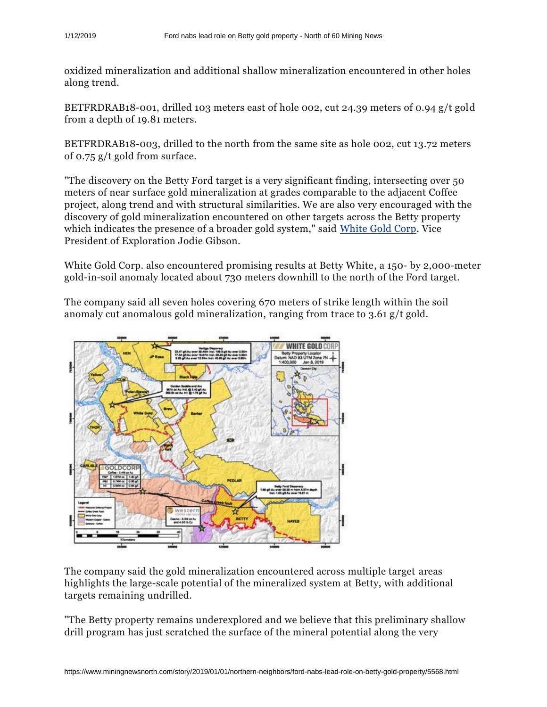oxidized mineralization and additional shallow mineralization encountered in other holes along trend.

BETFRDRAB18-001, drilled 103 meters east of hole 002, cut 24.39 meters of 0.94 g/t gold from a depth of 19.81 meters.

BETFRDRAB18-003, drilled to the north from the same site as hole 002, cut 13.72 meters of 0.75 g/t gold from surface.

"The discovery on the Betty Ford target is a very significant finding, intersecting over 50 meters of near surface gold mineralization at grades comparable to the adjacent Coffee project, along trend and with structural similarities. We are also very encouraged with the discovery of gold mineralization encountered on other targets across the Betty property which indicates the presence of a broader gold system," said [White Gold Corp.](https://www.miningnewsnorth.com/search/White_Gold_Corp) Vice President of Exploration Jodie Gibson.

White Gold Corp. also encountered promising results at Betty White, a 150- by 2,000-meter gold-in-soil anomaly located about 730 meters downhill to the north of the Ford target.

The company said all seven holes covering 670 meters of strike length within the soil anomaly cut anomalous gold mineralization, ranging from trace to 3.61 g/t gold.



The company said the gold mineralization encountered across multiple target areas highlights the large-scale potential of the mineralized system at Betty, with additional targets remaining undrilled.

"The Betty property remains underexplored and we believe that this preliminary shallow drill program has just scratched the surface of the mineral potential along the very